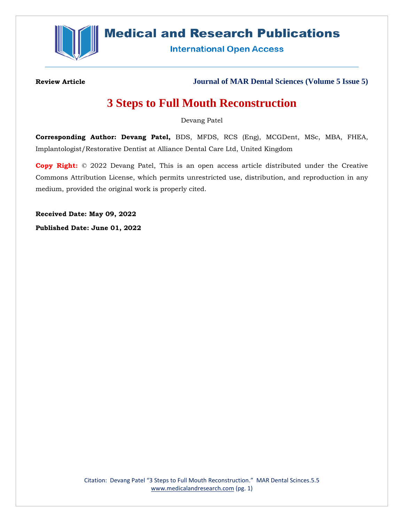

# **Medical and Research Publications**

**International Open Access** 

**Review Article Journal of MAR Dental Sciences (Volume 5 Issue 5)**

# **3 Steps to Full Mouth Reconstruction**

Devang Patel

**Corresponding Author: Devang Patel,** BDS, MFDS, RCS (Eng), MCGDent, MSc, MBA, FHEA, Implantologist/Restorative Dentist at Alliance Dental Care Ltd, United Kingdom

**Copy Right:** © 2022 Devang Patel, This is an open access article distributed under the Creative Commons Attribution License, which permits unrestricted use, distribution, and reproduction in any medium, provided the original work is properly cited.

**Received Date: May 09, 2022 Published Date: June 01, 2022**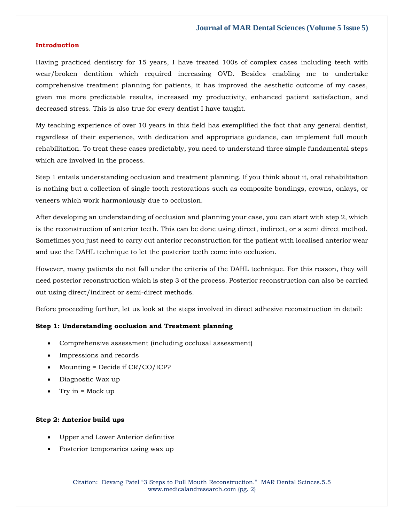#### **Introduction**

Having practiced dentistry for 15 years, I have treated 100s of complex cases including teeth with wear/broken dentition which required increasing OVD. Besides enabling me to undertake comprehensive treatment planning for patients, it has improved the aesthetic outcome of my cases, given me more predictable results, increased my productivity, enhanced patient satisfaction, and decreased stress. This is also true for every dentist I have taught.

My teaching experience of over 10 years in this field has exemplified the fact that any general dentist, regardless of their experience, with dedication and appropriate guidance, can implement full mouth rehabilitation. To treat these cases predictably, you need to understand three simple fundamental steps which are involved in the process.

Step 1 entails understanding occlusion and treatment planning. If you think about it, oral rehabilitation is nothing but a collection of single tooth restorations such as composite bondings, crowns, onlays, or veneers which work harmoniously due to occlusion.

After developing an understanding of occlusion and planning your case, you can start with step 2, which is the reconstruction of anterior teeth. This can be done using direct, indirect, or a semi direct method. Sometimes you just need to carry out anterior reconstruction for the patient with localised anterior wear and use the DAHL technique to let the posterior teeth come into occlusion.

However, many patients do not fall under the criteria of the DAHL technique. For this reason, they will need posterior reconstruction which is step 3 of the process. Posterior reconstruction can also be carried out using direct/indirect or semi-direct methods.

Before proceeding further, let us look at the steps involved in direct adhesive reconstruction in detail:

#### **Step 1: Understanding occlusion and Treatment planning**

- Comprehensive assessment (including occlusal assessment)
- Impressions and records
- Mounting = Decide if  $CR/CO/ICP$ ?
- Diagnostic Wax up
- Try in = Mock up

#### **Step 2: Anterior build ups**

- Upper and Lower Anterior definitive
- Posterior temporaries using wax up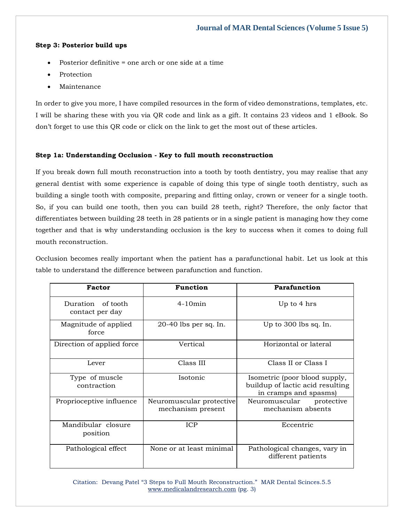#### **Step 3: Posterior build ups**

- Posterior definitive = one arch or one side at a time
- Protection
- **Maintenance**

In order to give you more, I have compiled resources in the form of video demonstrations, templates, etc. I will be sharing these with you via QR code and link as a gift. It contains 23 videos and 1 eBook. So don't forget to use this QR code or click on the link to get the most out of these articles.

#### **Step 1a: Understanding Occlusion - Key to full mouth reconstruction**

If you break down full mouth reconstruction into a tooth by tooth dentistry, you may realise that any general dentist with some experience is capable of doing this type of single tooth dentistry, such as building a single tooth with composite, preparing and fitting onlay, crown or veneer for a single tooth. So, if you can build one tooth, then you can build 28 teeth, right? Therefore, the only factor that differentiates between building 28 teeth in 28 patients or in a single patient is managing how they come together and that is why understanding occlusion is the key to success when it comes to doing full mouth reconstruction.

Occlusion becomes really important when the patient has a parafunctional habit. Let us look at this table to understand the difference between parafunction and function.

| Factor                               | <b>Function</b>                               | Parafunction                                                                               |
|--------------------------------------|-----------------------------------------------|--------------------------------------------------------------------------------------------|
| Duration of tooth<br>contact per day | $4-10$ min                                    | Up to 4 hrs                                                                                |
| Magnitude of applied<br>force        | $20-40$ lbs per sq. In.                       | Up to 300 lbs sq. In.                                                                      |
| Direction of applied force           | Vertical                                      | Horizontal or lateral                                                                      |
| Lever                                | Class III                                     | Class II or Class I                                                                        |
| Type of muscle<br>contraction        | Isotonic                                      | Isometric (poor blood supply,<br>buildup of lactic acid resulting<br>in cramps and spasms) |
| Proprioceptive influence             | Neuromuscular protective<br>mechanism present | Neuromuscular<br>protective<br>mechanism absents                                           |
| Mandibular closure<br>position       | <b>ICP</b>                                    | Eccentric                                                                                  |
| Pathological effect                  | None or at least minimal                      | Pathological changes, vary in<br>different patients                                        |

Citation: Devang Patel "3 Steps to Full Mouth Reconstruction." MAR Dental Scinces.5.5 [www.medicalandresearch.com](http://www.medicalandresearch.com/) (pg. 3)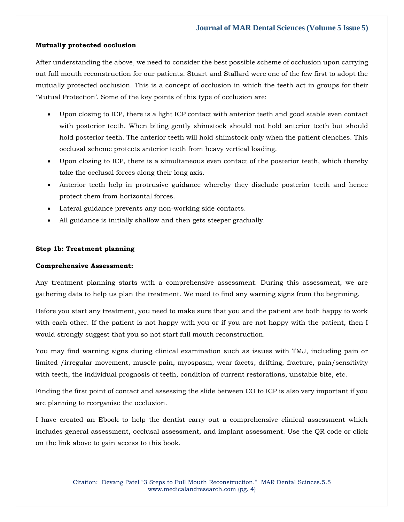#### **Mutually protected occlusion**

After understanding the above, we need to consider the best possible scheme of occlusion upon carrying out full mouth reconstruction for our patients. Stuart and Stallard were one of the few first to adopt the mutually protected occlusion. This is a concept of occlusion in which the teeth act in groups for their 'Mutual Protection'. Some of the key points of this type of occlusion are:

- Upon closing to ICP, there is a light ICP contact with anterior teeth and good stable even contact with posterior teeth. When biting gently shimstock should not hold anterior teeth but should hold posterior teeth. The anterior teeth will hold shimstock only when the patient clenches. This occlusal scheme protects anterior teeth from heavy vertical loading.
- Upon closing to ICP, there is a simultaneous even contact of the posterior teeth, which thereby take the occlusal forces along their long axis.
- Anterior teeth help in protrusive guidance whereby they disclude posterior teeth and hence protect them from horizontal forces.
- Lateral guidance prevents any non-working side contacts.
- All guidance is initially shallow and then gets steeper gradually.

#### **Step 1b: Treatment planning**

#### **Comprehensive Assessment:**

Any treatment planning starts with a comprehensive assessment. During this assessment, we are gathering data to help us plan the treatment. We need to find any warning signs from the beginning.

Before you start any treatment, you need to make sure that you and the patient are both happy to work with each other. If the patient is not happy with you or if you are not happy with the patient, then I would strongly suggest that you so not start full mouth reconstruction.

You may find warning signs during clinical examination such as issues with TMJ, including pain or limited /irregular movement, muscle pain, myospasm, wear facets, drifting, fracture, pain/sensitivity with teeth, the individual prognosis of teeth, condition of current restorations, unstable bite, etc.

Finding the first point of contact and assessing the slide between CO to ICP is also very important if you are planning to reorganise the occlusion.

I have created an Ebook to help the dentist carry out a comprehensive clinical assessment which includes general assessment, occlusal assessment, and implant assessment. Use the QR code or click on the link above to gain access to this book.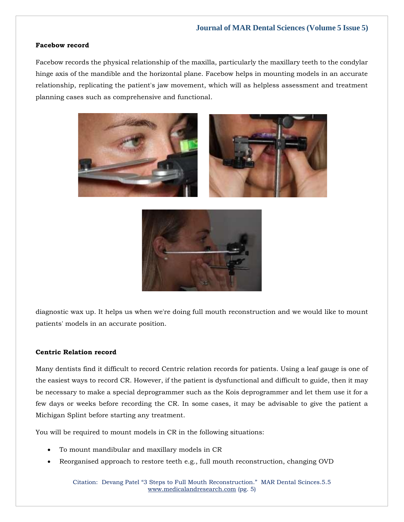#### **Facebow record**

Facebow records the physical relationship of the maxilla, particularly the maxillary teeth to the condylar hinge axis of the mandible and the horizontal plane. Facebow helps in mounting models in an accurate relationship, replicating the patient's jaw movement, which will as helpless assessment and treatment planning cases such as comprehensive and functional.





diagnostic wax up. It helps us when we're doing full mouth reconstruction and we would like to mount patients' models in an accurate position.

#### **Centric Relation record**

Many dentists find it difficult to record Centric relation records for patients. Using a leaf gauge is one of the easiest ways to record CR. However, if the patient is dysfunctional and difficult to guide, then it may be necessary to make a special deprogrammer such as the Kois deprogrammer and let them use it for a few days or weeks before recording the CR. In some cases, it may be advisable to give the patient a Michigan Splint before starting any treatment.

You will be required to mount models in CR in the following situations:

- To mount mandibular and maxillary models in CR
- Reorganised approach to restore teeth e.g., full mouth reconstruction, changing OVD

Citation: Devang Patel "3 Steps to Full Mouth Reconstruction." MAR Dental Scinces.5.5 [www.medicalandresearch.com](http://www.medicalandresearch.com/) (pg. 5)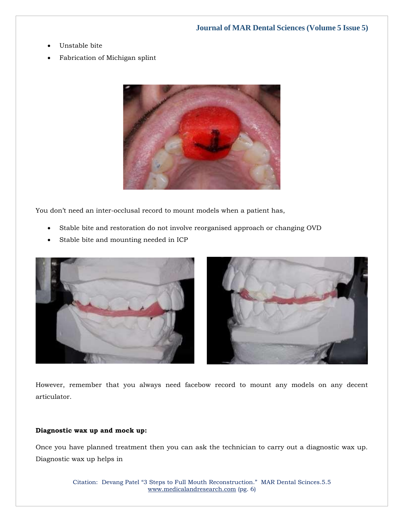- Unstable bite
- Fabrication of Michigan splint



You don't need an inter-occlusal record to mount models when a patient has,

- Stable bite and restoration do not involve reorganised approach or changing OVD
- Stable bite and mounting needed in ICP



However, remember that you always need facebow record to mount any models on any decent articulator.

#### **Diagnostic wax up and mock up:**

Once you have planned treatment then you can ask the technician to carry out a diagnostic wax up. Diagnostic wax up helps in

> Citation: Devang Patel "3 Steps to Full Mouth Reconstruction." MAR Dental Scinces.5.5 [www.medicalandresearch.com](http://www.medicalandresearch.com/) (pg. 6)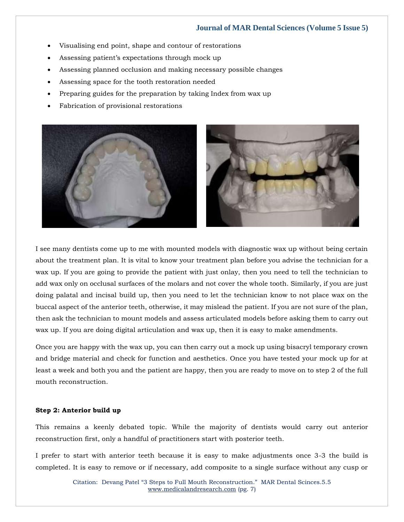- Visualising end point, shape and contour of restorations
- Assessing patient's expectations through mock up
- Assessing planned occlusion and making necessary possible changes
- Assessing space for the tooth restoration needed
- Preparing guides for the preparation by taking Index from wax up
- Fabrication of provisional restorations



I see many dentists come up to me with mounted models with diagnostic wax up without being certain about the treatment plan. It is vital to know your treatment plan before you advise the technician for a wax up. If you are going to provide the patient with just onlay, then you need to tell the technician to add wax only on occlusal surfaces of the molars and not cover the whole tooth. Similarly, if you are just doing palatal and incisal build up, then you need to let the technician know to not place wax on the buccal aspect of the anterior teeth, otherwise, it may mislead the patient. If you are not sure of the plan, then ask the technician to mount models and assess articulated models before asking them to carry out wax up. If you are doing digital articulation and wax up, then it is easy to make amendments.

Once you are happy with the wax up, you can then carry out a mock up using bisacryl temporary crown and bridge material and check for function and aesthetics. Once you have tested your mock up for at least a week and both you and the patient are happy, then you are ready to move on to step 2 of the full mouth reconstruction.

#### **Step 2: Anterior build up**

This remains a keenly debated topic. While the majority of dentists would carry out anterior reconstruction first, only a handful of practitioners start with posterior teeth.

I prefer to start with anterior teeth because it is easy to make adjustments once 3-3 the build is completed. It is easy to remove or if necessary, add composite to a single surface without any cusp or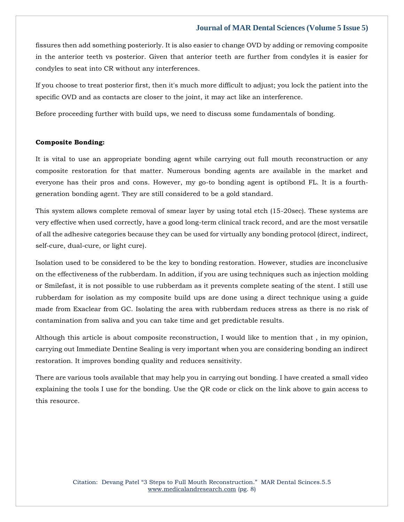fissures then add something posteriorly. It is also easier to change OVD by adding or removing composite in the anterior teeth vs posterior. Given that anterior teeth are further from condyles it is easier for condyles to seat into CR without any interferences.

If you choose to treat posterior first, then it's much more difficult to adjust; you lock the patient into the specific OVD and as contacts are closer to the joint, it may act like an interference.

Before proceeding further with build ups, we need to discuss some fundamentals of bonding.

#### **Composite Bonding:**

It is vital to use an appropriate bonding agent while carrying out full mouth reconstruction or any composite restoration for that matter. Numerous bonding agents are available in the market and everyone has their pros and cons. However, my go-to bonding agent is optibond FL. It is a fourthgeneration bonding agent. They are still considered to be a gold standard.

This system allows complete removal of smear layer by using total etch (15-20sec). These systems are very effective when used correctly, have a good long-term clinical track record, and are the most versatile of all the adhesive categories because they can be used for virtually any bonding protocol (direct, indirect, self-cure, dual-cure, or light cure).

Isolation used to be considered to be the key to bonding restoration. However, studies are inconclusive on the effectiveness of the rubberdam. In addition, if you are using techniques such as injection molding or Smilefast, it is not possible to use rubberdam as it prevents complete seating of the stent. I still use rubberdam for isolation as my composite build ups are done using a direct technique using a guide made from Exaclear from GC. Isolating the area with rubberdam reduces stress as there is no risk of contamination from saliva and you can take time and get predictable results.

Although this article is about composite reconstruction, I would like to mention that , in my opinion, carrying out Immediate Dentine Sealing is very important when you are considering bonding an indirect restoration. It improves bonding quality and reduces sensitivity.

There are various tools available that may help you in carrying out bonding. I have created a small video explaining the tools I use for the bonding. Use the QR code or click on the link above to gain access to this resource.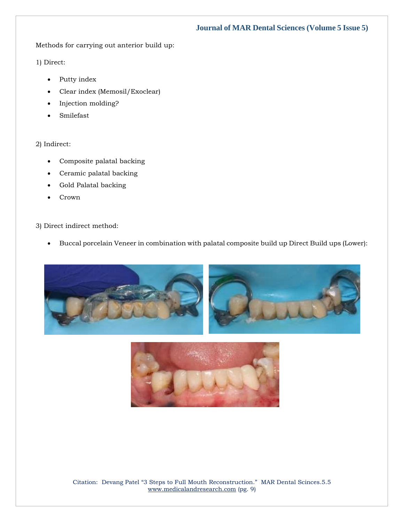Methods for carrying out anterior build up:

1) Direct:

- Putty index
- Clear index (Memosil/Exoclear)
- Injection molding?
- Smilefast

2) Indirect:

- Composite palatal backing
- Ceramic palatal backing
- Gold Palatal backing
- Crown

### 3) Direct indirect method:

• Buccal porcelain Veneer in combination with palatal composite build up Direct Build ups (Lower):





Citation: Devang Patel "3 Steps to Full Mouth Reconstruction." MAR Dental Scinces.5.5 [www.medicalandresearch.com](http://www.medicalandresearch.com/) (pg. 9)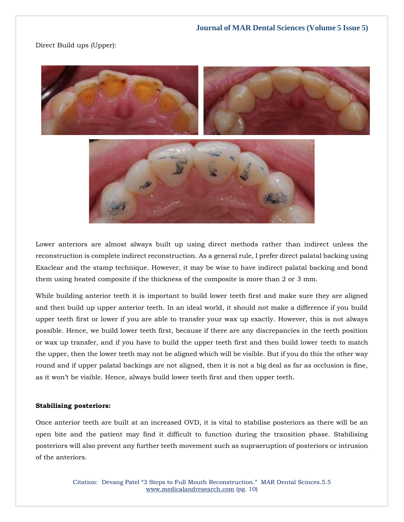#### Direct Build ups (Upper):



Lower anteriors are almost always built up using direct methods rather than indirect unless the reconstruction is complete indirect reconstruction. As a general rule, I prefer direct palatal backing using Exaclear and the stamp technique. However, it may be wise to have indirect palatal backing and bond them using heated composite if the thickness of the composite is more than 2 or 3 mm.

While building anterior teeth it is important to build lower teeth first and make sure they are aligned and then build up upper anterior teeth. In an ideal world, it should not make a difference if you build upper teeth first or lower if you are able to transfer your wax up exactly. However, this is not always possible. Hence, we build lower teeth first, because if there are any discrepancies in the teeth position or wax up transfer, and if you have to build the upper teeth first and then build lower teeth to match the upper, then the lower teeth may not be aligned which will be visible. But if you do this the other way round and if upper palatal backings are not aligned, then it is not a big deal as far as occlusion is fine, as it won't be visible. Hence, always build lower teeth first and then upper teeth.

#### **Stabilising posteriors:**

Once anterior teeth are built at an increased OVD, it is vital to stabilise posteriors as there will be an open bite and the patient may find it difficult to function during the transition phase. Stabilising posteriors will also prevent any further teeth movement such as supraeruption of posteriors or intrusion of the anteriors.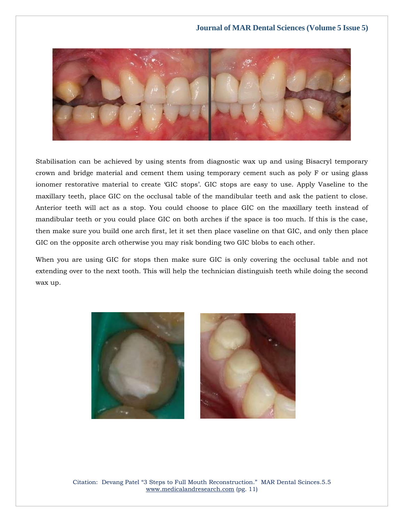

Stabilisation can be achieved by using stents from diagnostic wax up and using Bisacryl temporary crown and bridge material and cement them using temporary cement such as poly F or using glass ionomer restorative material to create 'GIC stops'. GIC stops are easy to use. Apply Vaseline to the maxillary teeth, place GIC on the occlusal table of the mandibular teeth and ask the patient to close. Anterior teeth will act as a stop. You could choose to place GIC on the maxillary teeth instead of mandibular teeth or you could place GIC on both arches if the space is too much. If this is the case, then make sure you build one arch first, let it set then place vaseline on that GIC, and only then place GIC on the opposite arch otherwise you may risk bonding two GIC blobs to each other.

When you are using GIC for stops then make sure GIC is only covering the occlusal table and not extending over to the next tooth. This will help the technician distinguish teeth while doing the second wax up.





Citation: Devang Patel "3 Steps to Full Mouth Reconstruction." MAR Dental Scinces.5.5 [www.medicalandresearch.com](http://www.medicalandresearch.com/) (pg. 11)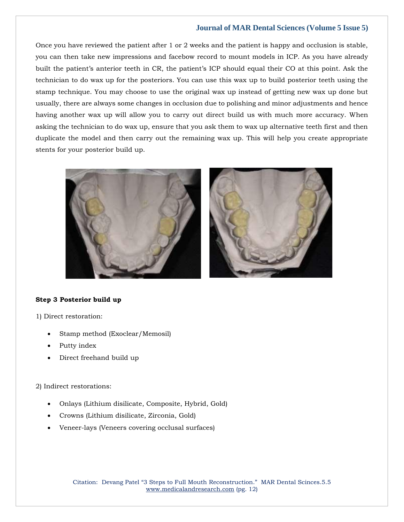Once you have reviewed the patient after 1 or 2 weeks and the patient is happy and occlusion is stable, you can then take new impressions and facebow record to mount models in ICP. As you have already built the patient's anterior teeth in CR, the patient's ICP should equal their CO at this point. Ask the technician to do wax up for the posteriors. You can use this wax up to build posterior teeth using the stamp technique. You may choose to use the original wax up instead of getting new wax up done but usually, there are always some changes in occlusion due to polishing and minor adjustments and hence having another wax up will allow you to carry out direct build us with much more accuracy. When asking the technician to do wax up, ensure that you ask them to wax up alternative teeth first and then duplicate the model and then carry out the remaining wax up. This will help you create appropriate stents for your posterior build up.



#### **Step 3 Posterior build up**

1) Direct restoration:

- Stamp method (Exoclear/Memosil)
- Putty index
- Direct freehand build up

#### 2) Indirect restorations:

- Onlays (Lithium disilicate, Composite, Hybrid, Gold)
- Crowns (Lithium disilicate, Zirconia, Gold)
- Veneer-lays (Veneers covering occlusal surfaces)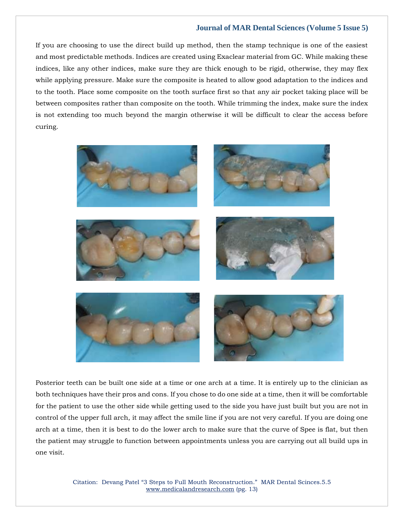If you are choosing to use the direct build up method, then the stamp technique is one of the easiest and most predictable methods. Indices are created using Exaclear material from GC. While making these indices, like any other indices, make sure they are thick enough to be rigid, otherwise, they may flex while applying pressure. Make sure the composite is heated to allow good adaptation to the indices and to the tooth. Place some composite on the tooth surface first so that any air pocket taking place will be between composites rather than composite on the tooth. While trimming the index, make sure the index is not extending too much beyond the margin otherwise it will be difficult to clear the access before curing.



Posterior teeth can be built one side at a time or one arch at a time. It is entirely up to the clinician as both techniques have their pros and cons. If you chose to do one side at a time, then it will be comfortable for the patient to use the other side while getting used to the side you have just built but you are not in control of the upper full arch, it may affect the smile line if you are not very careful. If you are doing one arch at a time, then it is best to do the lower arch to make sure that the curve of Spee is flat, but then the patient may struggle to function between appointments unless you are carrying out all build ups in one visit.

> Citation: Devang Patel "3 Steps to Full Mouth Reconstruction." MAR Dental Scinces.5.5 [www.medicalandresearch.com](http://www.medicalandresearch.com/) (pg. 13)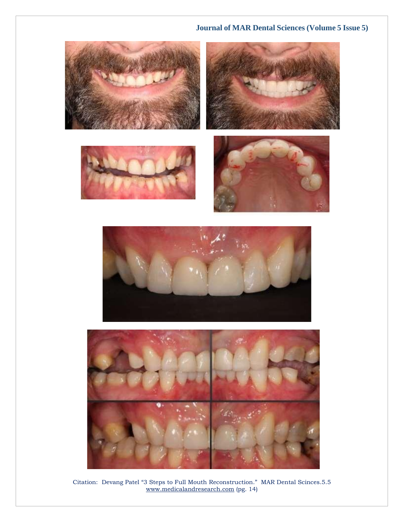









Citation: Devang Patel "3 Steps to Full Mouth Reconstruction." MAR Dental Scinces.5.5 [www.medicalandresearch.com](http://www.medicalandresearch.com/) (pg. 14)